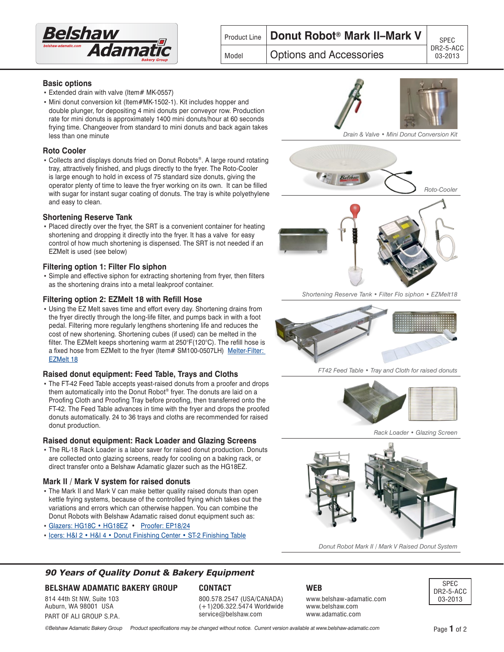

# Product Line **Donut Robot® Mark II–Mark V** | <sub>SPEC</sub>

## Model **Options and Accessories 1** 03-2013

#### **Basic options**

- Extended drain with valve (Item# MK-0557)
- Mini donut conversion kit (Item#MK-1502-1). Kit includes hopper and double plunger, for depositing 4 mini donuts per conveyor row. Production rate for mini donuts is approximately 1400 mini donuts/hour at 60 seconds frying time. Changeover from standard to mini donuts and back again takes less than one minute

## **Roto Cooler**

• Collects and displays donuts fried on Donut Robots®. A large round rotating tray, attractively finished, and plugs directly to the fryer. The Roto-Cooler is large enough to hold in excess of 75 standard size donuts, giving the operator plenty of time to leave the fryer working on its own. It can be filled with sugar for instant sugar coating of donuts. The tray is white polyethylene and easy to clean.

#### **Shortening Reserve Tank**

▪ Placed directly over the fryer, the SRT is a convenient container for heating shortening and dropping it directly into the fryer. It has a valve for easy control of how much shortening is dispensed. The SRT is not needed if an EZMelt is used (see below)

## **Filtering option 1: Filter Flo siphon**

• Simple and effective siphon for extracting shortening from fryer, then filters as the shortening drains into a metal leakproof container.

#### **Filtering option 2: EZMelt 18 with Refill Hose**

• Using the EZ Melt saves time and effort every day. Shortening drains from the fryer directly through the long-life filter, and pumps back in with a foot pedal. Filtering more regularly lengthens shortening life and reduces the cost of new shortening. Shortening cubes (if used) can be melted in the filter. The EZMelt keeps shortening warm at 250°F(120°C). The refill hose is a fixed hose from EZMelt to the fryer (Item# SM100-0507LH) Melter-Filter: [EZMelt 18](http://www.belshaw-adamatic.com/specs/belshaw-EZMelt-18-melter-filter.pdf)

#### **Raised donut equipment: Feed Table, Trays and Cloths**

• The FT-42 Feed Table accepts yeast-raised donuts from a proofer and drops them automatically into the Donut Robot® fryer. The donuts are laid on a Proofing Cloth and Proofing Tray before proofing, then transferred onto the FT-42. The Feed Table advances in time with the fryer and drops the proofed donuts automatically. 24 to 36 trays and cloths are recommended for raised donut production.

#### **Raised donut equipment: Rack Loader and Glazing Screens**

• The RL-18 Rack Loader is a labor saver for raised donut production. Donuts are collected onto glazing screens, ready for cooling on a baking rack, or direct transfer onto a Belshaw Adamatic glazer such as the HG18EZ.

#### **Mark II / Mark V system for raised donuts**

- The Mark II and Mark V can make better quality raised donuts than open kettle frying systems, because of the controlled frying which takes out the variations and errors which can otherwise happen. You can combine the Donut Robots with Belshaw Adamatic raised donut equipment such as:
- **[Glazers: HG18C HG18EZ](http://www.belshaw-adamatic.com/specs/belshaw-glazers-HG18-24.pdf) [Proofer: EP18/24](http://www.belshaw-adamatic.com/specs/belshaw-proofer-EP18-24.pdf)**
- [Icers: H&I 2 H&I 4 Donut Finishing Center ST-2 Finishing Table](http://www.belshaw-adamatic.com/specs/belshaw-icers-H&I2-4-DFC-ST.pdf)





*Shortening Reserve Tank • Filter Flo siphon • EZMelt18*



*FT42 Feed Table • Tray and Cloth for raised donuts*



*Rack Loader • Glazing Screen*



*Donut Robot Mark II / Mark V Raised Donut System*

## **90 Years of Quality Donut & Bakery Equipment**

## **BELSHAW ADAMATIC BAKERY GROUP**

814 44th St NW, Suite 103 Auburn, WA 98001 USA PART OF ALI GROUP S.P.A.

#### **CONTACT**

800.578.2547 (USA/CANADA) (+1)206.322.5474 Worldwide service@belshaw.com

## **WEB**

**web**

www.belshaw-adamatic.com www.belshaw.com www.adamatic.com



©Belshaw Adamatic Bakery Group Product specifications may be changed without notice. Current version available at www.belshaw-adamatic.com Page **1** of 2